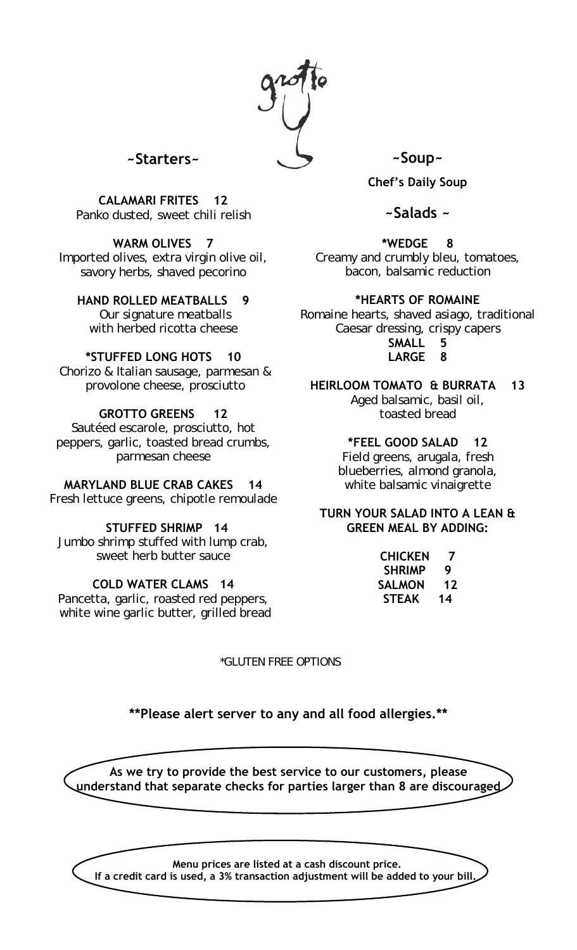

# **~Starters~**

**CALAMARI FRITES 12** Panko dusted, sweet chili relish

## **WARM OLIVES 7**

Imported olives, extra virgin olive oil, savory herbs, shaved pecorino

## **HAND ROLLED MEATBALLS 9**

Our signature meatballs with herbed ricotta cheese

## **\*STUFFED LONG HOTS 10**

Chorizo & Italian sausage, parmesan & provolone cheese, prosciutto

## **GROTTO GREENS 12**

Sautéed escarole, prosciutto, hot peppers, garlic, toasted bread crumbs, parmesan cheese

## **MARYLAND BLUE CRAB CAKES 14**

Fresh lettuce greens, chipotle remoulade

## **STUFFED SHRIMP 14**

Jumbo shrimp stuffed with lump crab, sweet herb butter sauce

## **COLD WATER CLAMS 14**

Pancetta, garlic, roasted red peppers, white wine garlic butter, grilled bread

\*GLUTEN FREE OPTIONS

**~Soup~**

**Chef's Daily Soup**

# **~Salads ~**

**\*WEDGE 8** 

Creamy and crumbly bleu, tomatoes, bacon, balsamic reduction

## **\*HEARTS OF ROMAINE**

Romaine hearts, shaved asiago, traditional Caesar dressing, crispy capers **SMALL 5**

**LARGE 8**

## **HEIRLOOM TOMATO & BURRATA 13**

Aged balsamic, basil oil, toasted bread

## **\*FEEL GOOD SALAD 12**

Field greens, arugala, fresh blueberries, almond granola, white balsamic vinaigrette

## **TURN YOUR SALAD INTO A LEAN & GREEN MEAL BY ADDING:**

| <b>CHICKEN</b> | 7  |
|----------------|----|
| <b>SHRIMP</b>  | 9  |
| <b>SALMON</b>  | 12 |
| <b>STEAK</b>   | 14 |

**\*\*Please alert server to any and all food allergies.\*\***

**As we try to provide the best service to our customers, please understand that separate checks for parties larger than 8 are discouraged** 

**Menu prices are listed at a cash discount price. If a credit card is used, a 3% transaction adjustment will be added to your bill.**